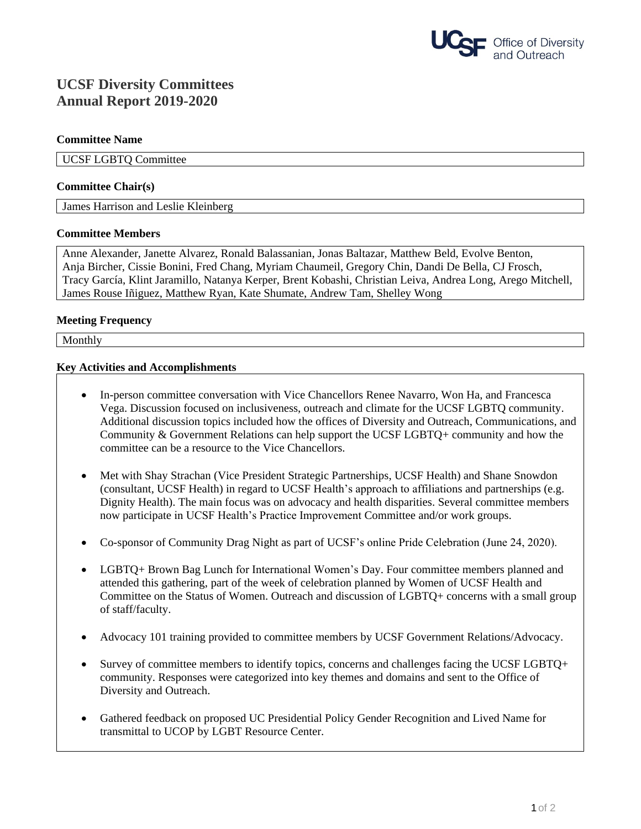

# **UCSF Diversity Committees Annual Report 2019-2020**

#### **Committee Name**

UCSF LGBTQ Committee

#### **Committee Chair(s)**

James Harrison and Leslie Kleinberg

## **Committee Members**

Anne Alexander, Janette Alvarez, Ronald Balassanian, Jonas Baltazar, Matthew Beld, Evolve Benton, Anja Bircher, Cissie Bonini, Fred Chang, Myriam Chaumeil, Gregory Chin, Dandi De Bella, CJ Frosch, Tracy García, Klint Jaramillo, Natanya Kerper, Brent Kobashi, Christian Leiva, Andrea Long, Arego Mitchell, James Rouse Iñiguez, Matthew Ryan, Kate Shumate, Andrew Tam, Shelley Wong

#### **Meeting Frequency**

Monthly

#### **Key Activities and Accomplishments**

- In-person committee conversation with Vice Chancellors Renee Navarro, Won Ha, and Francesca Vega. Discussion focused on inclusiveness, outreach and climate for the UCSF LGBTQ community. Additional discussion topics included how the offices of Diversity and Outreach, Communications, and Community & Government Relations can help support the UCSF LGBTQ+ community and how the committee can be a resource to the Vice Chancellors.
- Met with Shay Strachan (Vice President Strategic Partnerships, UCSF Health) and Shane Snowdon (consultant, UCSF Health) in regard to UCSF Health's approach to affiliations and partnerships (e.g. Dignity Health). The main focus was on advocacy and health disparities. Several committee members now participate in UCSF Health's Practice Improvement Committee and/or work groups.
- Co-sponsor of Community Drag Night as part of UCSF's online Pride Celebration (June 24, 2020).
- LGBTQ+ Brown Bag Lunch for International Women's Day. Four committee members planned and attended this gathering, part of the week of celebration planned by Women of UCSF Health and Committee on the Status of Women. Outreach and discussion of LGBTQ+ concerns with a small group of staff/faculty.
- Advocacy 101 training provided to committee members by UCSF Government Relations/Advocacy.
- Survey of committee members to identify topics, concerns and challenges facing the UCSF LGBTQ+ community. Responses were categorized into key themes and domains and sent to the Office of Diversity and Outreach.
- Gathered feedback on proposed UC Presidential Policy Gender Recognition and Lived Name for transmittal to UCOP by LGBT Resource Center.